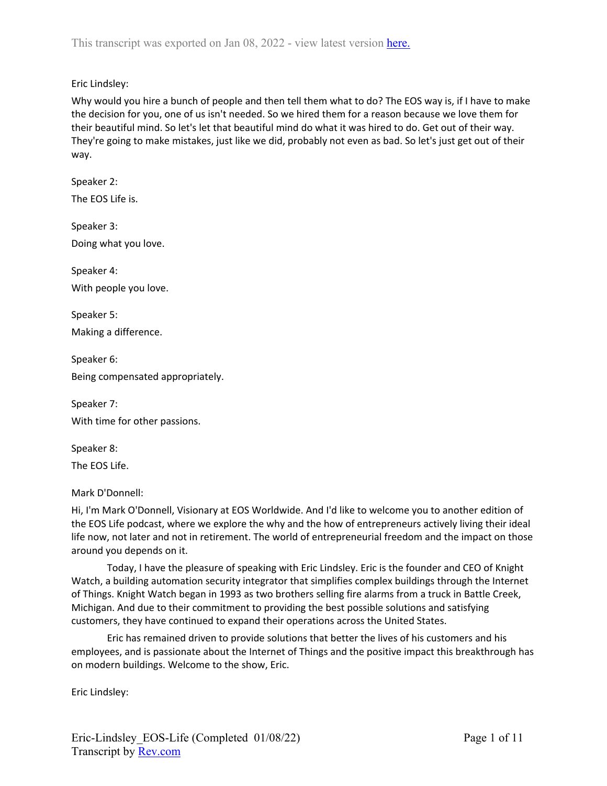Eric Lindsley:

Why would you hire a bunch of people and then tell them what to do? The EOS way is, if I have to make the decision for you, one of us isn't needed. So we hired them for a reason because we love them for their beautiful mind. So let's let that beautiful mind do what it was hired to do. Get out of their way. They're going to make mistakes, just like we did, probably not even as bad. So let's just get out of their way.

Speaker 2: The EOS Life is.

Speaker 3: Doing what you love.

Speaker 4: With people you love.

Speaker 5: Making a difference.

Speaker 6: Being compensated appropriately.

Speaker 7: With time for other passions.

Speaker 8:

The EOS Life.

Mark D'Donnell:

Hi, I'm Mark O'Donnell, Visionary at EOS Worldwide. And I'd like to welcome you to another edition of the EOS Life podcast, where we explore the why and the how of entrepreneurs actively living their ideal life now, not later and not in retirement. The world of entrepreneurial freedom and the impact on those around you depends on it.

Today, I have the pleasure of speaking with Eric Lindsley. Eric is the founder and CEO of Knight Watch, a building automation security integrator that simplifies complex buildings through the Internet of Things. Knight Watch began in 1993 as two brothers selling fire alarms from a truck in Battle Creek, Michigan. And due to their commitment to providing the best possible solutions and satisfying customers, they have continued to expand their operations across the United States.

Eric has remained driven to provide solutions that better the lives of his customers and his employees, and is passionate about the Internet of Things and the positive impact this breakthrough has on modern buildings. Welcome to the show, Eric.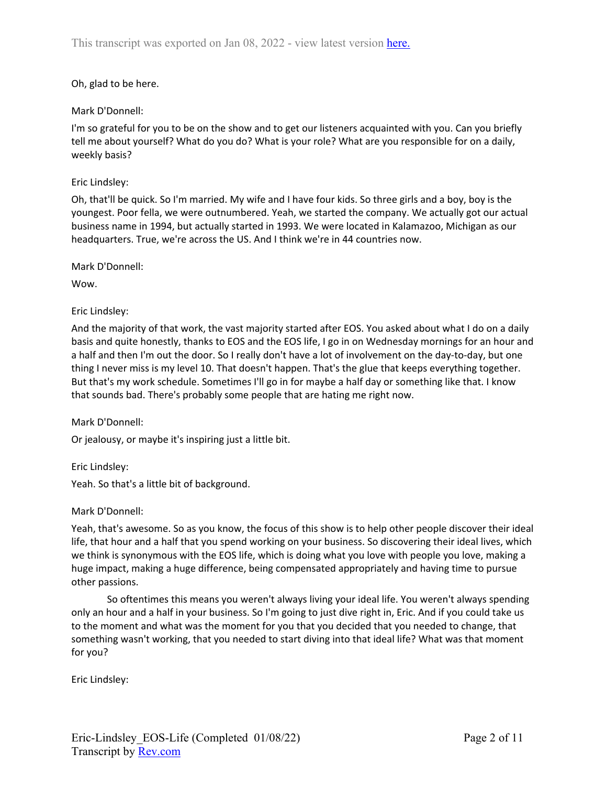### Oh, glad to be here.

### Mark D'Donnell:

I'm so grateful for you to be on the show and to get our listeners acquainted with you. Can you briefly tell me about yourself? What do you do? What is your role? What are you responsible for on a daily, weekly basis?

### Eric Lindsley:

Oh, that'll be quick. So I'm married. My wife and I have four kids. So three girls and a boy, boy is the youngest. Poor fella, we were outnumbered. Yeah, we started the company. We actually got our actual business name in 1994, but actually started in 1993. We were located in Kalamazoo, Michigan as our headquarters. True, we're across the US. And I think we're in 44 countries now.

Mark D'Donnell:

Wow.

### Eric Lindsley:

And the majority of that work, the vast majority started after EOS. You asked about what I do on a daily basis and quite honestly, thanks to EOS and the EOS life, I go in on Wednesday mornings for an hour and a half and then I'm out the door. So I really don't have a lot of involvement on the day-to-day, but one thing I never miss is my level 10. That doesn't happen. That's the glue that keeps everything together. But that's my work schedule. Sometimes I'll go in for maybe a half day or something like that. I know that sounds bad. There's probably some people that are hating me right now.

Mark D'Donnell:

Or jealousy, or maybe it's inspiring just a little bit.

Eric Lindsley:

Yeah. So that's a little bit of background.

Mark D'Donnell:

Yeah, that's awesome. So as you know, the focus of this show is to help other people discover their ideal life, that hour and a half that you spend working on your business. So discovering their ideal lives, which we think is synonymous with the EOS life, which is doing what you love with people you love, making a huge impact, making a huge difference, being compensated appropriately and having time to pursue other passions.

So oftentimes this means you weren't always living your ideal life. You weren't always spending only an hour and a half in your business. So I'm going to just dive right in, Eric. And if you could take us to the moment and what was the moment for you that you decided that you needed to change, that something wasn't working, that you needed to start diving into that ideal life? What was that moment for you?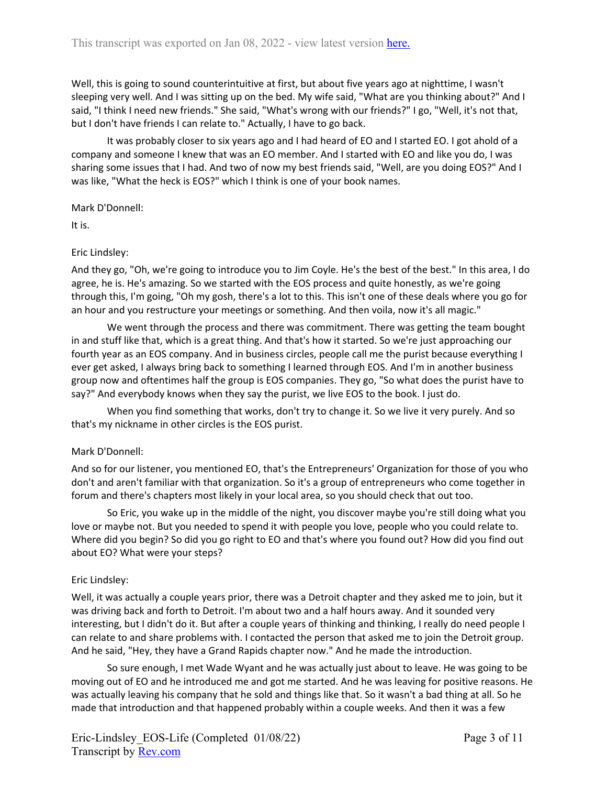Well, this is going to sound counterintuitive at first, but about five years ago at nighttime, I wasn't sleeping very well. And I was sitting up on the bed. My wife said, "What are you thinking about?" And I said, "I think I need new friends." She said, "What's wrong with our friends?" I go, "Well, it's not that, but I don't have friends I can relate to." Actually, I have to go back.

It was probably closer to six years ago and I had heard of EO and I started EO. I got ahold of a company and someone I knew that was an EO member. And I started with EO and like you do, I was sharing some issues that I had. And two of now my best friends said, "Well, are you doing EOS?" And I was like, "What the heck is EOS?" which I think is one of your book names.

Mark D'Donnell:

It is.

### Eric Lindsley:

And they go, "Oh, we're going to introduce you to Jim Coyle. He's the best of the best." In this area, I do agree, he is. He's amazing. So we started with the EOS process and quite honestly, as we're going through this, I'm going, "Oh my gosh, there's a lot to this. This isn't one of these deals where you go for an hour and you restructure your meetings or something. And then voila, now it's all magic."

We went through the process and there was commitment. There was getting the team bought in and stuff like that, which is a great thing. And that's how it started. So we're just approaching our fourth year as an EOS company. And in business circles, people call me the purist because everything I ever get asked, I always bring back to something I learned through EOS. And I'm in another business group now and oftentimes half the group is EOS companies. They go, "So what does the purist have to say?" And everybody knows when they say the purist, we live EOS to the book. I just do.

When you find something that works, don't try to change it. So we live it very purely. And so that's my nickname in other circles is the EOS purist.

### Mark D'Donnell:

And so for our listener, you mentioned EO, that's the Entrepreneurs' Organization for those of you who don't and aren't familiar with that organization. So it's a group of entrepreneurs who come together in forum and there's chapters most likely in your local area, so you should check that out too.

So Eric, you wake up in the middle of the night, you discover maybe you're still doing what you love or maybe not. But you needed to spend it with people you love, people who you could relate to. Where did you begin? So did you go right to EO and that's where you found out? How did you find out about EO? What were your steps?

### Eric Lindsley:

Well, it was actually a couple years prior, there was a Detroit chapter and they asked me to join, but it was driving back and forth to Detroit. I'm about two and a half hours away. And it sounded very interesting, but I didn't do it. But after a couple years of thinking and thinking, I really do need people I can relate to and share problems with. I contacted the person that asked me to join the Detroit group. And he said, "Hey, they have a Grand Rapids chapter now." And he made the introduction.

So sure enough, I met Wade Wyant and he was actually just about to leave. He was going to be moving out of EO and he introduced me and got me started. And he was leaving for positive reasons. He was actually leaving his company that he sold and things like that. So it wasn't a bad thing at all. So he made that introduction and that happened probably within a couple weeks. And then it was a few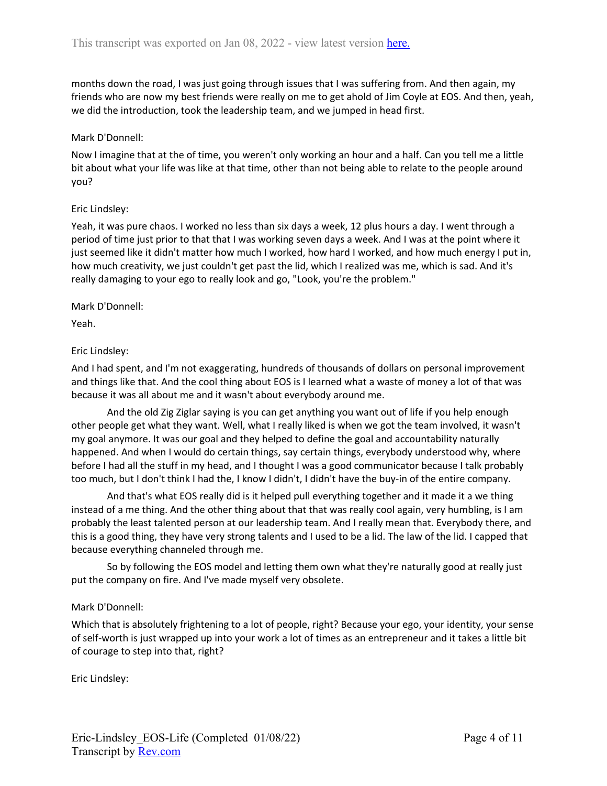months down the road, I was just going through issues that I was suffering from. And then again, my friends who are now my best friends were really on me to get ahold of Jim Coyle at EOS. And then, yeah, we did the introduction, took the leadership team, and we jumped in head first.

### Mark D'Donnell:

Now I imagine that at the of time, you weren't only working an hour and a half. Can you tell me a little bit about what your life was like at that time, other than not being able to relate to the people around you?

### Eric Lindsley:

Yeah, it was pure chaos. I worked no less than six days a week, 12 plus hours a day. I went through a period of time just prior to that that I was working seven days a week. And I was at the point where it just seemed like it didn't matter how much I worked, how hard I worked, and how much energy I put in, how much creativity, we just couldn't get past the lid, which I realized was me, which is sad. And it's really damaging to your ego to really look and go, "Look, you're the problem."

#### Mark D'Donnell:

Yeah.

### Eric Lindsley:

And I had spent, and I'm not exaggerating, hundreds of thousands of dollars on personal improvement and things like that. And the cool thing about EOS is I learned what a waste of money a lot of that was because it was all about me and it wasn't about everybody around me.

And the old Zig Ziglar saying is you can get anything you want out of life if you help enough other people get what they want. Well, what I really liked is when we got the team involved, it wasn't my goal anymore. It was our goal and they helped to define the goal and accountability naturally happened. And when I would do certain things, say certain things, everybody understood why, where before I had all the stuff in my head, and I thought I was a good communicator because I talk probably too much, but I don't think I had the, I know I didn't, I didn't have the buy-in of the entire company.

And that's what EOS really did is it helped pull everything together and it made it a we thing instead of a me thing. And the other thing about that that was really cool again, very humbling, is I am probably the least talented person at our leadership team. And I really mean that. Everybody there, and this is a good thing, they have very strong talents and I used to be a lid. The law of the lid. I capped that because everything channeled through me.

So by following the EOS model and letting them own what they're naturally good at really just put the company on fire. And I've made myself very obsolete.

### Mark D'Donnell:

Which that is absolutely frightening to a lot of people, right? Because your ego, your identity, your sense of self-worth is just wrapped up into your work a lot of times as an entrepreneur and it takes a little bit of courage to step into that, right?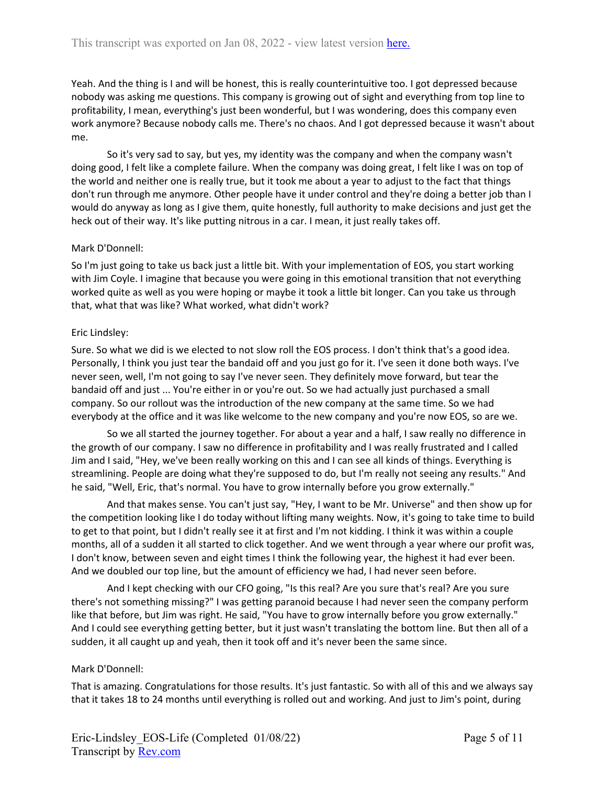Yeah. And the thing is I and will be honest, this is really counterintuitive too. I got depressed because nobody was asking me questions. This company is growing out of sight and everything from top line to profitability, I mean, everything's just been wonderful, but I was wondering, does this company even work anymore? Because nobody calls me. There's no chaos. And I got depressed because it wasn't about me.

So it's very sad to say, but yes, my identity was the company and when the company wasn't doing good, I felt like a complete failure. When the company was doing great, I felt like I was on top of the world and neither one is really true, but it took me about a year to adjust to the fact that things don't run through me anymore. Other people have it under control and they're doing a better job than I would do anyway as long as I give them, quite honestly, full authority to make decisions and just get the heck out of their way. It's like putting nitrous in a car. I mean, it just really takes off.

### Mark D'Donnell:

So I'm just going to take us back just a little bit. With your implementation of EOS, you start working with Jim Coyle. I imagine that because you were going in this emotional transition that not everything worked quite as well as you were hoping or maybe it took a little bit longer. Can you take us through that, what that was like? What worked, what didn't work?

### Eric Lindsley:

Sure. So what we did is we elected to not slow roll the EOS process. I don't think that's a good idea. Personally, I think you just tear the bandaid off and you just go for it. I've seen it done both ways. I've never seen, well, I'm not going to say I've never seen. They definitely move forward, but tear the bandaid off and just ... You're either in or you're out. So we had actually just purchased a small company. So our rollout was the introduction of the new company at the same time. So we had everybody at the office and it was like welcome to the new company and you're now EOS, so are we.

So we all started the journey together. For about a year and a half, I saw really no difference in the growth of our company. I saw no difference in profitability and I was really frustrated and I called Jim and I said, "Hey, we've been really working on this and I can see all kinds of things. Everything is streamlining. People are doing what they're supposed to do, but I'm really not seeing any results." And he said, "Well, Eric, that's normal. You have to grow internally before you grow externally."

And that makes sense. You can't just say, "Hey, I want to be Mr. Universe" and then show up for the competition looking like I do today without lifting many weights. Now, it's going to take time to build to get to that point, but I didn't really see it at first and I'm not kidding. I think it was within a couple months, all of a sudden it all started to click together. And we went through a year where our profit was, I don't know, between seven and eight times I think the following year, the highest it had ever been. And we doubled our top line, but the amount of efficiency we had, I had never seen before.

And I kept checking with our CFO going, "Is this real? Are you sure that's real? Are you sure there's not something missing?" I was getting paranoid because I had never seen the company perform like that before, but Jim was right. He said, "You have to grow internally before you grow externally." And I could see everything getting better, but it just wasn't translating the bottom line. But then all of a sudden, it all caught up and yeah, then it took off and it's never been the same since.

### Mark D'Donnell:

That is amazing. Congratulations for those results. It's just fantastic. So with all of this and we always say that it takes 18 to 24 months until everything is rolled out and working. And just to Jim's point, during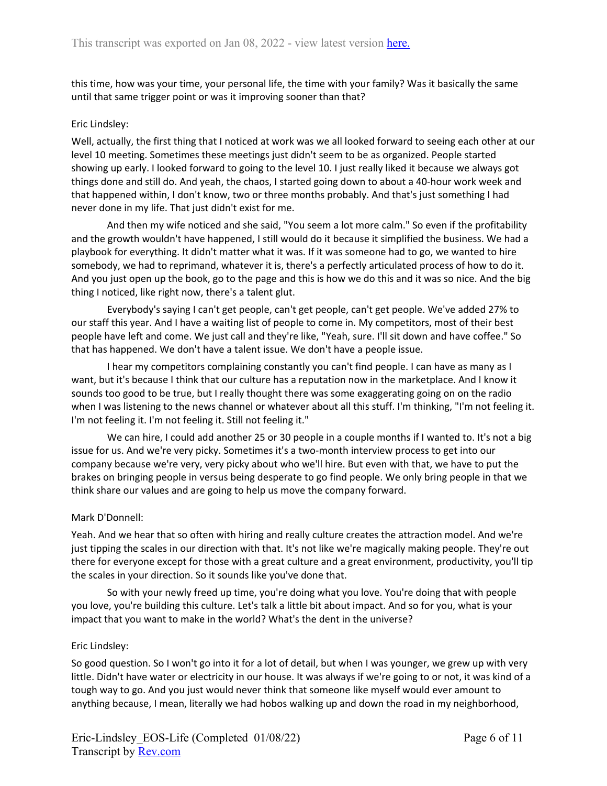this time, how was your time, your personal life, the time with your family? Was it basically the same until that same trigger point or was it improving sooner than that?

### Eric Lindsley:

Well, actually, the first thing that I noticed at work was we all looked forward to seeing each other at our level 10 meeting. Sometimes these meetings just didn't seem to be as organized. People started showing up early. I looked forward to going to the level 10. I just really liked it because we always got things done and still do. And yeah, the chaos, I started going down to about a 40-hour work week and that happened within, I don't know, two or three months probably. And that's just something I had never done in my life. That just didn't exist for me.

And then my wife noticed and she said, "You seem a lot more calm." So even if the profitability and the growth wouldn't have happened, I still would do it because it simplified the business. We had a playbook for everything. It didn't matter what it was. If it was someone had to go, we wanted to hire somebody, we had to reprimand, whatever it is, there's a perfectly articulated process of how to do it. And you just open up the book, go to the page and this is how we do this and it was so nice. And the big thing I noticed, like right now, there's a talent glut.

Everybody's saying I can't get people, can't get people, can't get people. We've added 27% to our staff this year. And I have a waiting list of people to come in. My competitors, most of their best people have left and come. We just call and they're like, "Yeah, sure. I'll sit down and have coffee." So that has happened. We don't have a talent issue. We don't have a people issue.

I hear my competitors complaining constantly you can't find people. I can have as many as I want, but it's because I think that our culture has a reputation now in the marketplace. And I know it sounds too good to be true, but I really thought there was some exaggerating going on on the radio when I was listening to the news channel or whatever about all this stuff. I'm thinking, "I'm not feeling it. I'm not feeling it. I'm not feeling it. Still not feeling it."

We can hire, I could add another 25 or 30 people in a couple months if I wanted to. It's not a big issue for us. And we're very picky. Sometimes it's a two-month interview process to get into our company because we're very, very picky about who we'll hire. But even with that, we have to put the brakes on bringing people in versus being desperate to go find people. We only bring people in that we think share our values and are going to help us move the company forward.

# Mark D'Donnell:

Yeah. And we hear that so often with hiring and really culture creates the attraction model. And we're just tipping the scales in our direction with that. It's not like we're magically making people. They're out there for everyone except for those with a great culture and a great environment, productivity, you'll tip the scales in your direction. So it sounds like you've done that.

So with your newly freed up time, you're doing what you love. You're doing that with people you love, you're building this culture. Let's talk a little bit about impact. And so for you, what is your impact that you want to make in the world? What's the dent in the universe?

### Eric Lindsley:

So good question. So I won't go into it for a lot of detail, but when I was younger, we grew up with very little. Didn't have water or electricity in our house. It was always if we're going to or not, it was kind of a tough way to go. And you just would never think that someone like myself would ever amount to anything because, I mean, literally we had hobos walking up and down the road in my neighborhood,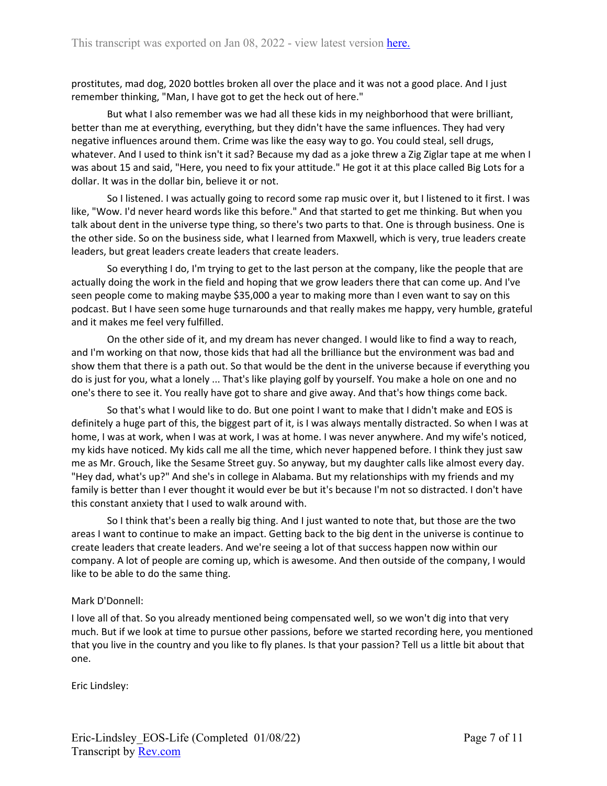prostitutes, mad dog, 2020 bottles broken all over the place and it was not a good place. And I just remember thinking, "Man, I have got to get the heck out of here."

But what I also remember was we had all these kids in my neighborhood that were brilliant, better than me at everything, everything, but they didn't have the same influences. They had very negative influences around them. Crime was like the easy way to go. You could steal, sell drugs, whatever. And I used to think isn't it sad? Because my dad as a joke threw a Zig Ziglar tape at me when I was about 15 and said, "Here, you need to fix your attitude." He got it at this place called Big Lots for a dollar. It was in the dollar bin, believe it or not.

So I listened. I was actually going to record some rap music over it, but I listened to it first. I was like, "Wow. I'd never heard words like this before." And that started to get me thinking. But when you talk about dent in the universe type thing, so there's two parts to that. One is through business. One is the other side. So on the business side, what I learned from Maxwell, which is very, true leaders create leaders, but great leaders create leaders that create leaders.

So everything I do, I'm trying to get to the last person at the company, like the people that are actually doing the work in the field and hoping that we grow leaders there that can come up. And I've seen people come to making maybe \$35,000 a year to making more than I even want to say on this podcast. But I have seen some huge turnarounds and that really makes me happy, very humble, grateful and it makes me feel very fulfilled.

On the other side of it, and my dream has never changed. I would like to find a way to reach, and I'm working on that now, those kids that had all the brilliance but the environment was bad and show them that there is a path out. So that would be the dent in the universe because if everything you do is just for you, what a lonely ... That's like playing golf by yourself. You make a hole on one and no one's there to see it. You really have got to share and give away. And that's how things come back.

So that's what I would like to do. But one point I want to make that I didn't make and EOS is definitely a huge part of this, the biggest part of it, is I was always mentally distracted. So when I was at home, I was at work, when I was at work, I was at home. I was never anywhere. And my wife's noticed, my kids have noticed. My kids call me all the time, which never happened before. I think they just saw me as Mr. Grouch, like the Sesame Street guy. So anyway, but my daughter calls like almost every day. "Hey dad, what's up?" And she's in college in Alabama. But my relationships with my friends and my family is better than I ever thought it would ever be but it's because I'm not so distracted. I don't have this constant anxiety that I used to walk around with.

So I think that's been a really big thing. And I just wanted to note that, but those are the two areas I want to continue to make an impact. Getting back to the big dent in the universe is continue to create leaders that create leaders. And we're seeing a lot of that success happen now within our company. A lot of people are coming up, which is awesome. And then outside of the company, I would like to be able to do the same thing.

# Mark D'Donnell:

I love all of that. So you already mentioned being compensated well, so we won't dig into that very much. But if we look at time to pursue other passions, before we started recording here, you mentioned that you live in the country and you like to fly planes. Is that your passion? Tell us a little bit about that one.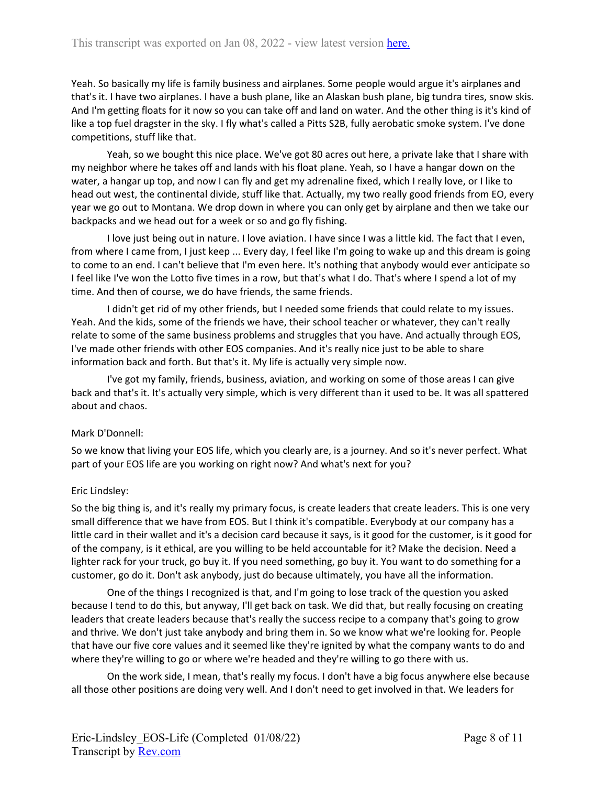Yeah. So basically my life is family business and airplanes. Some people would argue it's airplanes and that's it. I have two airplanes. I have a bush plane, like an Alaskan bush plane, big tundra tires, snow skis. And I'm getting floats for it now so you can take off and land on water. And the other thing is it's kind of like a top fuel dragster in the sky. I fly what's called a Pitts S2B, fully aerobatic smoke system. I've done competitions, stuff like that.

Yeah, so we bought this nice place. We've got 80 acres out here, a private lake that I share with my neighbor where he takes off and lands with his float plane. Yeah, so I have a hangar down on the water, a hangar up top, and now I can fly and get my adrenaline fixed, which I really love, or I like to head out west, the continental divide, stuff like that. Actually, my two really good friends from EO, every year we go out to Montana. We drop down in where you can only get by airplane and then we take our backpacks and we head out for a week or so and go fly fishing.

I love just being out in nature. I love aviation. I have since I was a little kid. The fact that I even, from where I came from, I just keep ... Every day, I feel like I'm going to wake up and this dream is going to come to an end. I can't believe that I'm even here. It's nothing that anybody would ever anticipate so I feel like I've won the Lotto five times in a row, but that's what I do. That's where I spend a lot of my time. And then of course, we do have friends, the same friends.

I didn't get rid of my other friends, but I needed some friends that could relate to my issues. Yeah. And the kids, some of the friends we have, their school teacher or whatever, they can't really relate to some of the same business problems and struggles that you have. And actually through EOS, I've made other friends with other EOS companies. And it's really nice just to be able to share information back and forth. But that's it. My life is actually very simple now.

I've got my family, friends, business, aviation, and working on some of those areas I can give back and that's it. It's actually very simple, which is very different than it used to be. It was all spattered about and chaos.

# Mark D'Donnell:

So we know that living your EOS life, which you clearly are, is a journey. And so it's never perfect. What part of your EOS life are you working on right now? And what's next for you?

# Eric Lindsley:

So the big thing is, and it's really my primary focus, is create leaders that create leaders. This is one very small difference that we have from EOS. But I think it's compatible. Everybody at our company has a little card in their wallet and it's a decision card because it says, is it good for the customer, is it good for of the company, is it ethical, are you willing to be held accountable for it? Make the decision. Need a lighter rack for your truck, go buy it. If you need something, go buy it. You want to do something for a customer, go do it. Don't ask anybody, just do because ultimately, you have all the information.

One of the things I recognized is that, and I'm going to lose track of the question you asked because I tend to do this, but anyway, I'll get back on task. We did that, but really focusing on creating leaders that create leaders because that's really the success recipe to a company that's going to grow and thrive. We don't just take anybody and bring them in. So we know what we're looking for. People that have our five core values and it seemed like they're ignited by what the company wants to do and where they're willing to go or where we're headed and they're willing to go there with us.

On the work side, I mean, that's really my focus. I don't have a big focus anywhere else because all those other positions are doing very well. And I don't need to get involved in that. We leaders for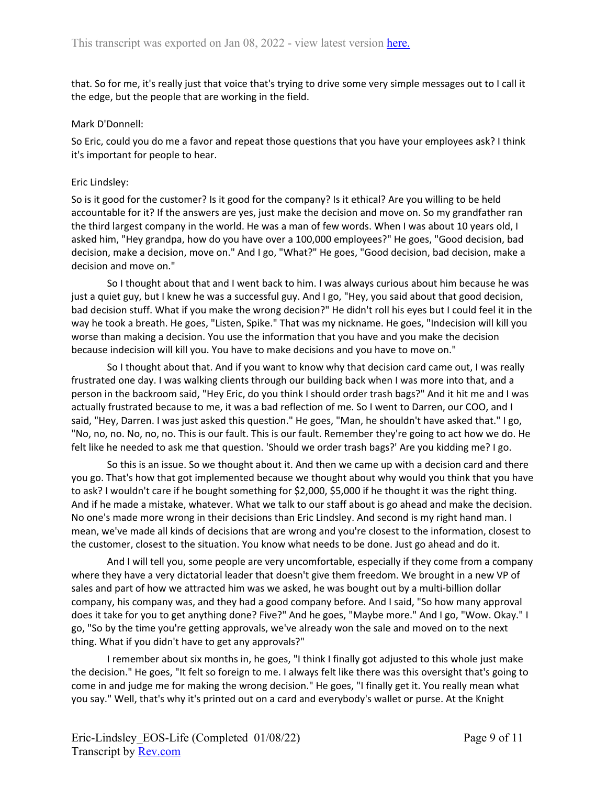that. So for me, it's really just that voice that's trying to drive some very simple messages out to I call it the edge, but the people that are working in the field.

#### Mark D'Donnell:

So Eric, could you do me a favor and repeat those questions that you have your employees ask? I think it's important for people to hear.

### Eric Lindsley:

So is it good for the customer? Is it good for the company? Is it ethical? Are you willing to be held accountable for it? If the answers are yes, just make the decision and move on. So my grandfather ran the third largest company in the world. He was a man of few words. When I was about 10 years old, I asked him, "Hey grandpa, how do you have over a 100,000 employees?" He goes, "Good decision, bad decision, make a decision, move on." And I go, "What?" He goes, "Good decision, bad decision, make a decision and move on."

So I thought about that and I went back to him. I was always curious about him because he was just a quiet guy, but I knew he was a successful guy. And I go, "Hey, you said about that good decision, bad decision stuff. What if you make the wrong decision?" He didn't roll his eyes but I could feel it in the way he took a breath. He goes, "Listen, Spike." That was my nickname. He goes, "Indecision will kill you worse than making a decision. You use the information that you have and you make the decision because indecision will kill you. You have to make decisions and you have to move on."

So I thought about that. And if you want to know why that decision card came out, I was really frustrated one day. I was walking clients through our building back when I was more into that, and a person in the backroom said, "Hey Eric, do you think I should order trash bags?" And it hit me and I was actually frustrated because to me, it was a bad reflection of me. So I went to Darren, our COO, and I said, "Hey, Darren. I was just asked this question." He goes, "Man, he shouldn't have asked that." I go, "No, no, no. No, no, no. This is our fault. This is our fault. Remember they're going to act how we do. He felt like he needed to ask me that question. 'Should we order trash bags?' Are you kidding me? I go.

So this is an issue. So we thought about it. And then we came up with a decision card and there you go. That's how that got implemented because we thought about why would you think that you have to ask? I wouldn't care if he bought something for \$2,000, \$5,000 if he thought it was the right thing. And if he made a mistake, whatever. What we talk to our staff about is go ahead and make the decision. No one's made more wrong in their decisions than Eric Lindsley. And second is my right hand man. I mean, we've made all kinds of decisions that are wrong and you're closest to the information, closest to the customer, closest to the situation. You know what needs to be done. Just go ahead and do it.

And I will tell you, some people are very uncomfortable, especially if they come from a company where they have a very dictatorial leader that doesn't give them freedom. We brought in a new VP of sales and part of how we attracted him was we asked, he was bought out by a multi-billion dollar company, his company was, and they had a good company before. And I said, "So how many approval does it take for you to get anything done? Five?" And he goes, "Maybe more." And I go, "Wow. Okay." I go, "So by the time you're getting approvals, we've already won the sale and moved on to the next thing. What if you didn't have to get any approvals?"

I remember about six months in, he goes, "I think I finally got adjusted to this whole just make the decision." He goes, "It felt so foreign to me. I always felt like there was this oversight that's going to come in and judge me for making the wrong decision." He goes, "I finally get it. You really mean what you say." Well, that's why it's printed out on a card and everybody's wallet or purse. At the Knight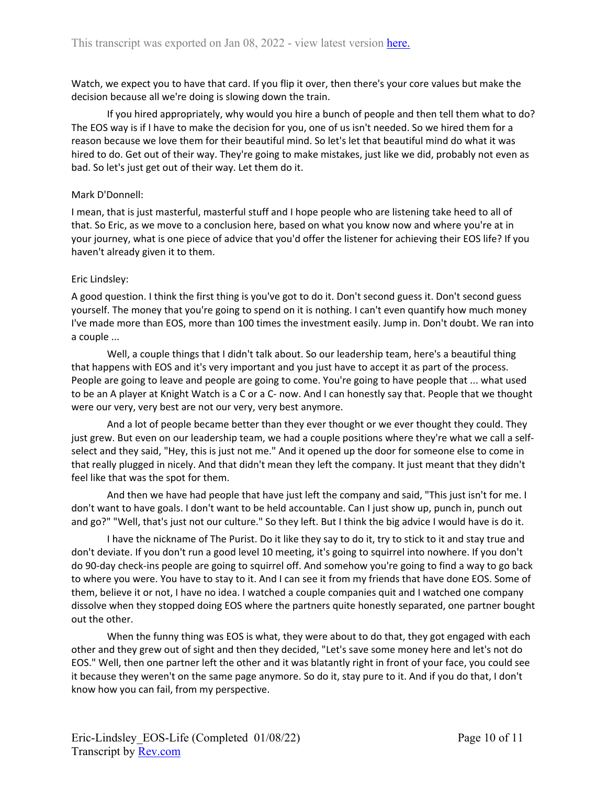Watch, we expect you to have that card. If you flip it over, then there's your core values but make the decision because all we're doing is slowing down the train.

If you hired appropriately, why would you hire a bunch of people and then tell them what to do? The EOS way is if I have to make the decision for you, one of us isn't needed. So we hired them for a reason because we love them for their beautiful mind. So let's let that beautiful mind do what it was hired to do. Get out of their way. They're going to make mistakes, just like we did, probably not even as bad. So let's just get out of their way. Let them do it.

### Mark D'Donnell:

I mean, that is just masterful, masterful stuff and I hope people who are listening take heed to all of that. So Eric, as we move to a conclusion here, based on what you know now and where you're at in your journey, what is one piece of advice that you'd offer the listener for achieving their EOS life? If you haven't already given it to them.

### Eric Lindsley:

A good question. I think the first thing is you've got to do it. Don't second guess it. Don't second guess yourself. The money that you're going to spend on it is nothing. I can't even quantify how much money I've made more than EOS, more than 100 times the investment easily. Jump in. Don't doubt. We ran into a couple ...

Well, a couple things that I didn't talk about. So our leadership team, here's a beautiful thing that happens with EOS and it's very important and you just have to accept it as part of the process. People are going to leave and people are going to come. You're going to have people that ... what used to be an A player at Knight Watch is a C or a C- now. And I can honestly say that. People that we thought were our very, very best are not our very, very best anymore.

And a lot of people became better than they ever thought or we ever thought they could. They just grew. But even on our leadership team, we had a couple positions where they're what we call a selfselect and they said, "Hey, this is just not me." And it opened up the door for someone else to come in that really plugged in nicely. And that didn't mean they left the company. It just meant that they didn't feel like that was the spot for them.

And then we have had people that have just left the company and said, "This just isn't for me. I don't want to have goals. I don't want to be held accountable. Can I just show up, punch in, punch out and go?" "Well, that's just not our culture." So they left. But I think the big advice I would have is do it.

I have the nickname of The Purist. Do it like they say to do it, try to stick to it and stay true and don't deviate. If you don't run a good level 10 meeting, it's going to squirrel into nowhere. If you don't do 90-day check-ins people are going to squirrel off. And somehow you're going to find a way to go back to where you were. You have to stay to it. And I can see it from my friends that have done EOS. Some of them, believe it or not, I have no idea. I watched a couple companies quit and I watched one company dissolve when they stopped doing EOS where the partners quite honestly separated, one partner bought out the other.

When the funny thing was EOS is what, they were about to do that, they got engaged with each other and they grew out of sight and then they decided, "Let's save some money here and let's not do EOS." Well, then one partner left the other and it was blatantly right in front of your face, you could see it because they weren't on the same page anymore. So do it, stay pure to it. And if you do that, I don't know how you can fail, from my perspective.